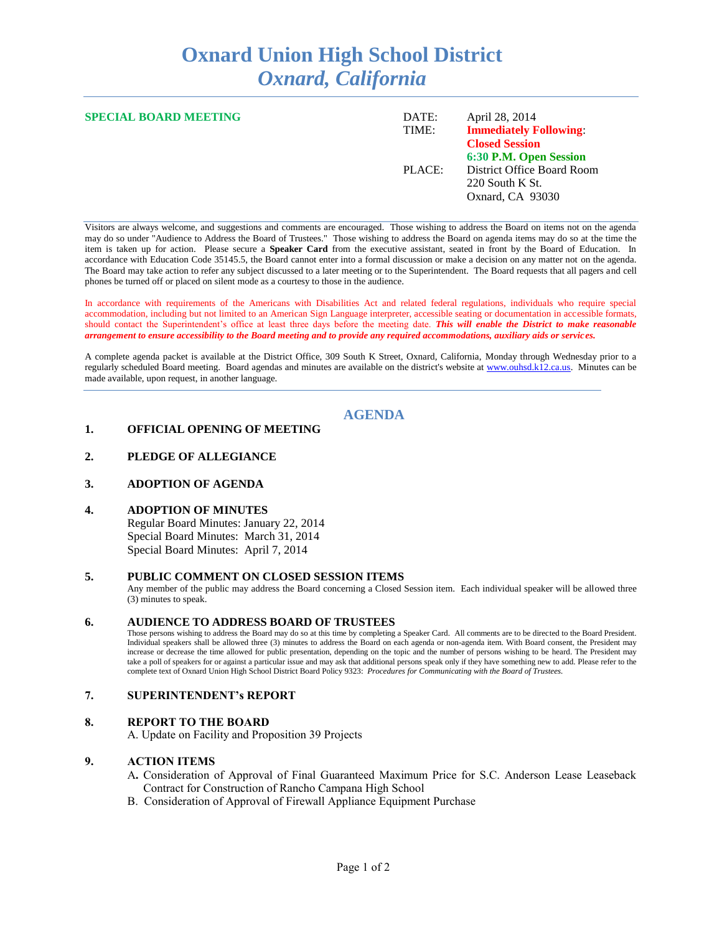# **Oxnard Union High School District** *Oxnard, California*

| <b>SPECIAL BOARD MEETING</b> | DATE:<br>TIME: | April 28, 2014<br><b>Immediately Following:</b>                                                  |
|------------------------------|----------------|--------------------------------------------------------------------------------------------------|
|                              | PLACE:         | <b>Closed Session</b><br>6:30 P.M. Open Session<br>District Office Board Room<br>220 South K St. |
|                              |                | Oxnard, CA 93030                                                                                 |

Visitors are always welcome, and suggestions and comments are encouraged. Those wishing to address the Board on items not on the agenda may do so under "Audience to Address the Board of Trustees." Those wishing to address the Board on agenda items may do so at the time the item is taken up for action. Please secure a **Speaker Card** from the executive assistant, seated in front by the Board of Education. In accordance with Education Code 35145.5, the Board cannot enter into a formal discussion or make a decision on any matter not on the agenda. The Board may take action to refer any subject discussed to a later meeting or to the Superintendent. The Board requests that all pagers and cell phones be turned off or placed on silent mode as a courtesy to those in the audience.

In accordance with requirements of the Americans with Disabilities Act and related federal regulations, individuals who require special accommodation, including but not limited to an American Sign Language interpreter, accessible seating or documentation in accessible formats, should contact the Superintendent's office at least three days before the meeting date. *This will enable the District to make reasonable arrangement to ensure accessibility to the Board meeting and to provide any required accommodations, auxiliary aids or services.* 

A complete agenda packet is available at the District Office, 309 South K Street, Oxnard, California, Monday through Wednesday prior to a regularly scheduled Board meeting. Board agendas and minutes are available on the district's website at [www.ouhsd.k12.ca.us.](http://www.ouhsd.k12.ca.us/)Minutes can be made available, upon request, in another language.

# **AGENDA**

#### **1. OFFICIAL OPENING OF MEETING**

## **2. PLEDGE OF ALLEGIANCE**

#### **3. ADOPTION OF AGENDA**

#### **4. ADOPTION OF MINUTES**

Regular Board Minutes: January 22, 2014 Special Board Minutes: March 31, 2014 Special Board Minutes: April 7, 2014

## **5. PUBLIC COMMENT ON CLOSED SESSION ITEMS**

Any member of the public may address the Board concerning a Closed Session item. Each individual speaker will be allowed three (3) minutes to speak.

#### **6. AUDIENCE TO ADDRESS BOARD OF TRUSTEES**

Those persons wishing to address the Board may do so at this time by completing a Speaker Card. All comments are to be directed to the Board President. Individual speakers shall be allowed three (3) minutes to address the Board on each agenda or non-agenda item. With Board consent, the President may increase or decrease the time allowed for public presentation, depending on the topic and the number of persons wishing to be heard. The President may take a poll of speakers for or against a particular issue and may ask that additional persons speak only if they have something new to add. Please refer to the complete text of Oxnard Union High School District Board Policy 9323: *Procedures for Communicating with the Board of Trustees.*

## **7. SUPERINTENDENT's REPORT**

#### **8. REPORT TO THE BOARD**

A. Update on Facility and Proposition 39 Projects

#### **9. ACTION ITEMS**

- A**.** Consideration of Approval of Final Guaranteed Maximum Price for S.C. Anderson Lease Leaseback Contract for Construction of Rancho Campana High School
- B. Consideration of Approval of Firewall Appliance Equipment Purchase